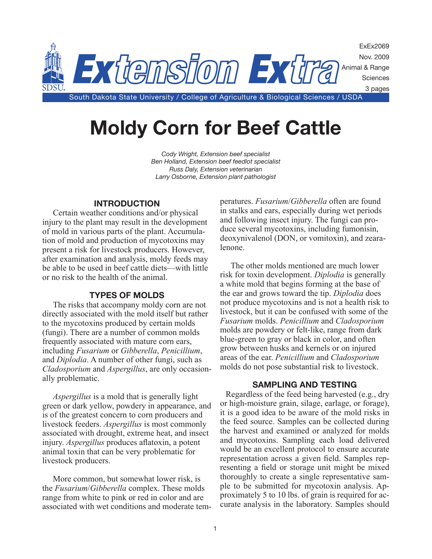

# **Moldy Corn for Beef Cattle**

*Cody Wright, Extension beef specialist Ben Holland, Extension beef feedlot specialist Russ Daly, Extension veterinarian Larry Osborne, Extension plant pathologist*

## **INTRODUCTION**

Certain weather conditions and/or physical injury to the plant may result in the development of mold in various parts of the plant. Accumulation of mold and production of mycotoxins may present a risk for livestock producers. However, after examination and analysis, moldy feeds may be able to be used in beef cattle diets—with little or no risk to the health of the animal.

## **TYPES OF MOLDS**

The risks that accompany moldy corn are not directly associated with the mold itself but rather to the mycotoxins produced by certain molds (fungi). There are a number of common molds frequently associated with mature corn ears, including *Fusarium* or *Gibberella*, *Penicillium*, and *Diplodia*. A number of other fungi, such as *Cladosporium* and *Aspergillus*, are only occasionally problematic.

*Aspergillus* is a mold that is generally light green or dark yellow, powdery in appearance, and is of the greatest concern to corn producers and livestock feeders. *Aspergillus* is most commonly associated with drought, extreme heat, and insect injury. *Aspergillus* produces aflatoxin, a potent animal toxin that can be very problematic for livestock producers.

More common, but somewhat lower risk, is the *Fusarium*/*Gibberella* complex. These molds range from white to pink or red in color and are associated with wet conditions and moderate temperatures. *Fusarium*/*Gibberella* often are found in stalks and ears, especially during wet periods and following insect injury. The fungi can produce several mycotoxins, including fumonisin, deoxynivalenol (DON, or vomitoxin), and zearalenone.

The other molds mentioned are much lower risk for toxin development. *Diplodia* is generally a white mold that begins forming at the base of the ear and grows toward the tip. *Diplodia* does not produce mycotoxins and is not a health risk to livestock, but it can be confused with some of the *Fusarium* molds. *Penicillium* and *Cladosporium* molds are powdery or felt-like, range from dark blue-green to gray or black in color, and often grow between husks and kernels or on injured areas of the ear. *Penicillium* and *Cladosporium* molds do not pose substantial risk to livestock.

#### **SAMPLING AND TESTING**

Regardless of the feed being harvested (e.g., dry or high-moisture grain, silage, earlage, or forage), it is a good idea to be aware of the mold risks in the feed source. Samples can be collected during the harvest and examined or analyzed for molds and mycotoxins. Sampling each load delivered would be an excellent protocol to ensure accurate representation across a given field. Samples representing a field or storage unit might be mixed thoroughly to create a single representative sample to be submitted for mycotoxin analysis. Approximately 5 to 10 lbs. of grain is required for accurate analysis in the laboratory. Samples should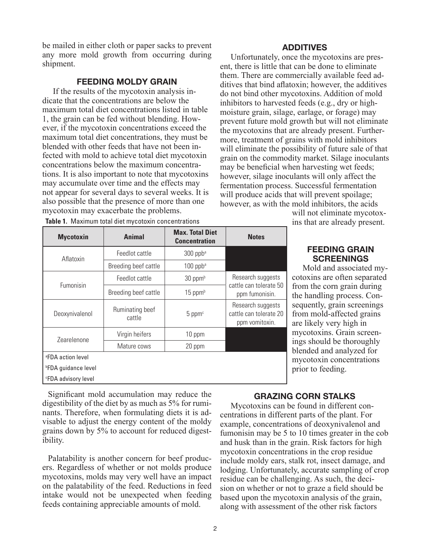be mailed in either cloth or paper sacks to prevent any more mold growth from occurring during shipment.

## **FEEDING MOLDY GRAIN**

If the results of the mycotoxin analysis indicate that the concentrations are below the maximum total diet concentrations listed in table 1, the grain can be fed without blending. However, if the mycotoxin concentrations exceed the maximum total diet concentrations, they must be blended with other feeds that have not been infected with mold to achieve total diet mycotoxin concentrations below the maximum concentrations. It is also important to note that mycotoxins may accumulate over time and the effects may not appear for several days to several weeks. It is also possible that the presence of more than one mycotoxin may exacerbate the problems.

## **ADDITIVES**

Unfortunately, once the mycotoxins are present, there is little that can be done to eliminate them. There are commercially available feed additives that bind aflatoxin; however, the additives do not bind other mycotoxins. Addition of mold inhibitors to harvested feeds (e.g., dry or highmoisture grain, silage, earlage, or forage) may prevent future mold growth but will not eliminate the mycotoxins that are already present. Furthermore, treatment of grains with mold inhibitors will eliminate the possibility of future sale of that grain on the commodity market. Silage inoculants may be beneficial when harvesting wet feeds; however, silage inoculants will only affect the fermentation process. Successful fermentation will produce acids that will prevent spoilage; however, as with the mold inhibitors, the acids

| will not eliminate mycotox-   |
|-------------------------------|
| ins that are already present. |

| <b>Mycotoxin</b>              | <b>Animal</b>             | <b>Max. Total Diet</b><br><b>Concentration</b> | <b>Notes</b>                                                  |  |
|-------------------------------|---------------------------|------------------------------------------------|---------------------------------------------------------------|--|
| Aflatoxin                     | Feedlot cattle            | 300 ppba                                       |                                                               |  |
|                               | Breeding beef cattle      | $100$ ppba                                     |                                                               |  |
|                               | Feedlot cattle            | $30$ ppm <sup>b</sup>                          | Research suggests                                             |  |
| Fumonisin                     | Breeding beef cattle      | $15$ ppm $b$                                   | cattle can tolerate 50<br>ppm fumonisin.                      |  |
| Deoxynivalenol                | Ruminating beef<br>cattle | 5 ppm <sup>c</sup>                             | Research suggests<br>cattle can tolerate 20<br>ppm vomitoxin. |  |
| Zearelenone                   | Virgin heifers            | 10 ppm                                         |                                                               |  |
|                               | Mature cows               | 20 ppm                                         |                                                               |  |
| <sup>a</sup> FDA action level |                           |                                                |                                                               |  |
| <b>PFDA</b> guidance level    |                           |                                                |                                                               |  |
| <b>EDA</b> advisory level     |                           |                                                |                                                               |  |

**Table 1.** Maximum total diet mycotoxin concentrations

Significant mold accumulation may reduce the digestibility of the diet by as much as 5% for ruminants. Therefore, when formulating diets it is advisable to adjust the energy content of the moldy grains down by 5% to account for reduced digestibility.

Palatability is another concern for beef producers. Regardless of whether or not molds produce mycotoxins, molds may very well have an impact on the palatability of the feed. Reductions in feed intake would not be unexpected when feeding feeds containing appreciable amounts of mold.

## **FEEDING GRAIN SCREENINGS**

Mold and associated mycotoxins are often separated from the corn grain during the handling process. Consequently, grain screenings from mold-affected grains are likely very high in mycotoxins. Grain screenings should be thoroughly blended and analyzed for mycotoxin concentrations prior to feeding.

## **GRAZING CORN STALKS**

Mycotoxins can be found in different concentrations in different parts of the plant. For example, concentrations of deoxynivalenol and fumonisin may be 5 to 10 times greater in the cob and husk than in the grain. Risk factors for high mycotoxin concentrations in the crop residue include moldy ears, stalk rot, insect damage, and lodging. Unfortunately, accurate sampling of crop residue can be challenging. As such, the decision on whether or not to graze a field should be based upon the mycotoxin analysis of the grain, along with assessment of the other risk factors